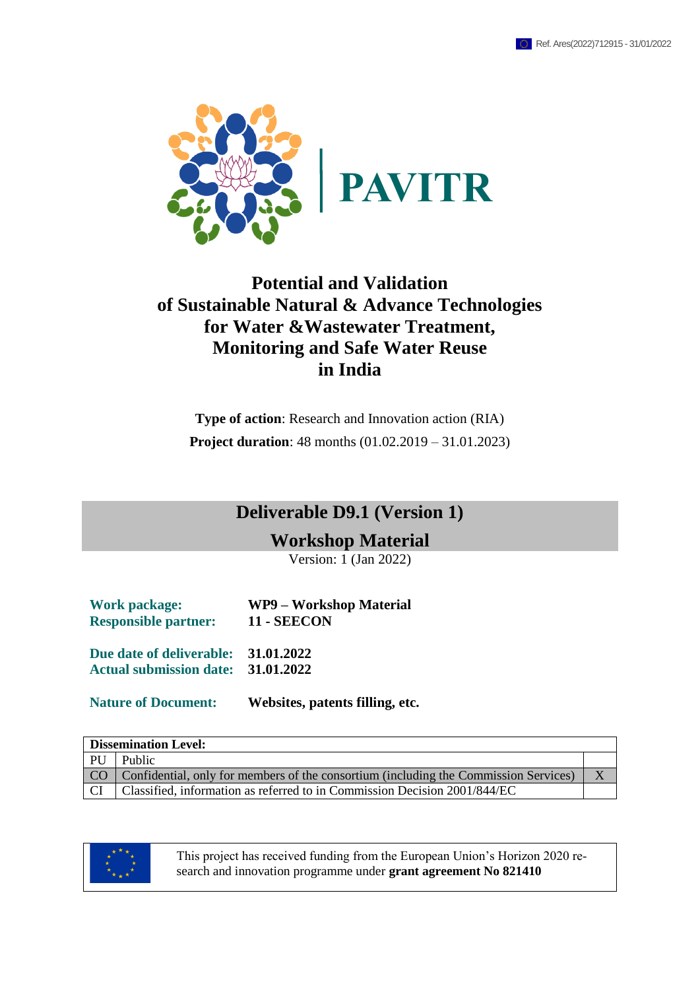

# **Potential and Validation of Sustainable Natural & Advance Technologies for Water &Wastewater Treatment, Monitoring and Safe Water Reuse in India**

**Type of action**: Research and Innovation action (RIA) **Project duration**: 48 months (01.02.2019 – 31.01.2023)

# **Deliverable D9.1 (Version 1)**

**Workshop Material**

Version: 1 (Jan 2022)

| <b>Work package:</b><br><b>Responsible partner:</b> | WP9 – Workshop Material<br><b>11 - SEECON</b> |
|-----------------------------------------------------|-----------------------------------------------|
| Due date of deliverable:                            | 31.01.2022                                    |
| Actual submission date: 31.01.2022                  |                                               |
|                                                     |                                               |

**Nature of Document: Websites, patents filling, etc.**

| <b>Dissemination Level:</b> |                                                                                           |  |  |  |  |
|-----------------------------|-------------------------------------------------------------------------------------------|--|--|--|--|
|                             | PU Public                                                                                 |  |  |  |  |
|                             | CO   Confidential, only for members of the consortium (including the Commission Services) |  |  |  |  |
| - CI                        | Classified, information as referred to in Commission Decision 2001/844/EC                 |  |  |  |  |



This project has received funding from the European Union's Horizon 2020 research and innovation programme under **grant agreement No 821410**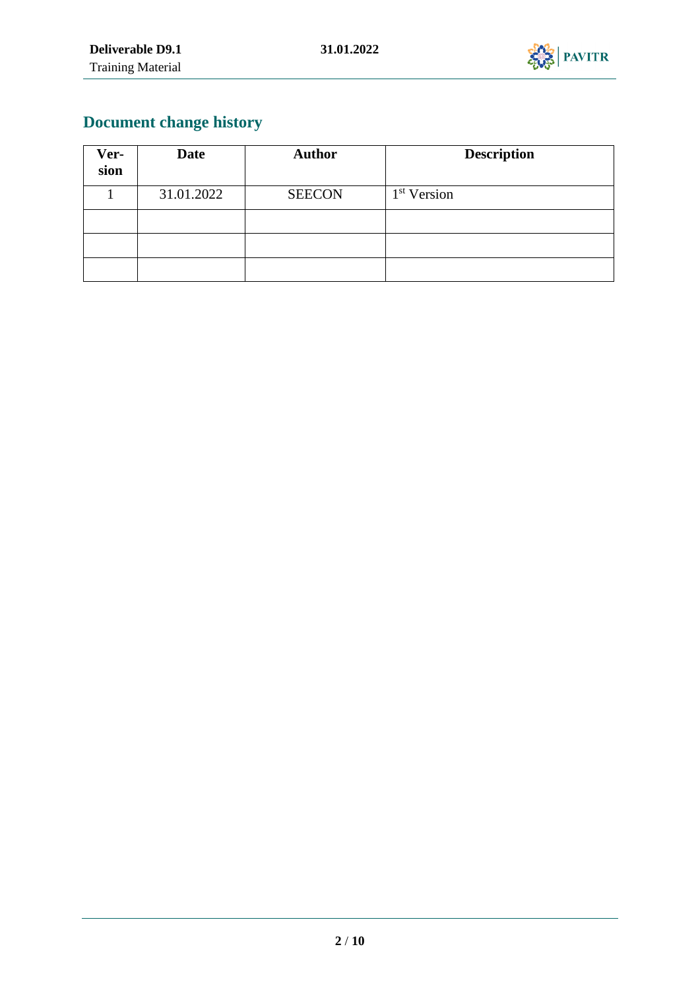

# **Document change history**

| Ver-<br>sion | <b>Date</b> | <b>Author</b> | <b>Description</b>      |
|--------------|-------------|---------------|-------------------------|
|              | 31.01.2022  | <b>SEECON</b> | 1 <sup>st</sup> Version |
|              |             |               |                         |
|              |             |               |                         |
|              |             |               |                         |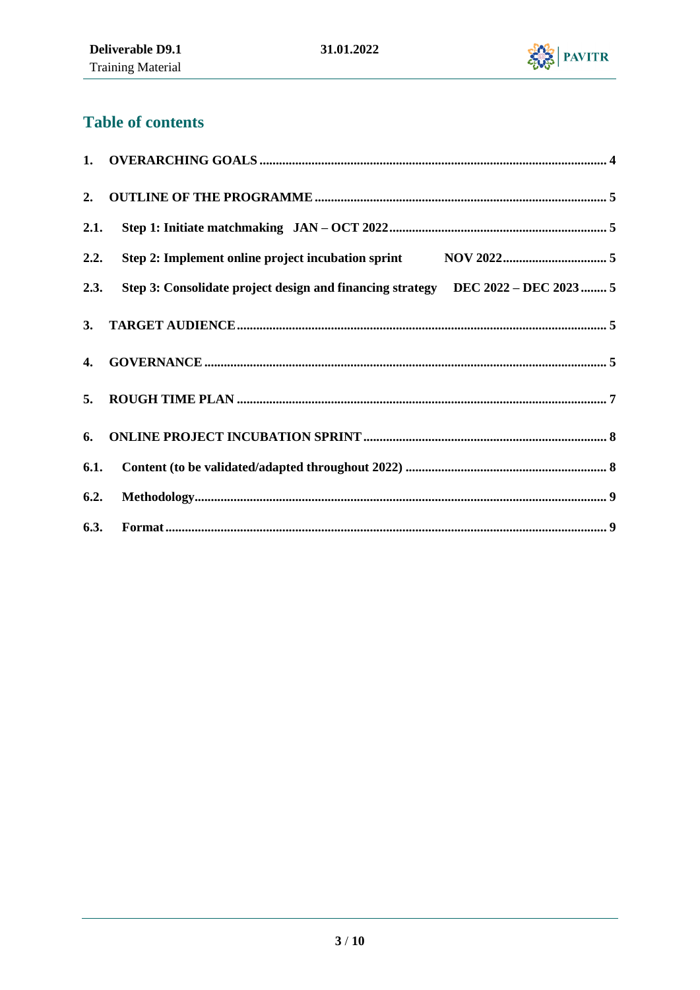

# **Table of contents**

| 2.   |                                                                                       |  |
|------|---------------------------------------------------------------------------------------|--|
| 2.1. |                                                                                       |  |
|      |                                                                                       |  |
|      | 2.3. Step 3: Consolidate project design and financing strategy DEC 2022 - DEC 2023  5 |  |
| 3.   |                                                                                       |  |
| 4.   |                                                                                       |  |
| 5.   |                                                                                       |  |
| 6.   |                                                                                       |  |
|      |                                                                                       |  |
| 6.2. |                                                                                       |  |
|      |                                                                                       |  |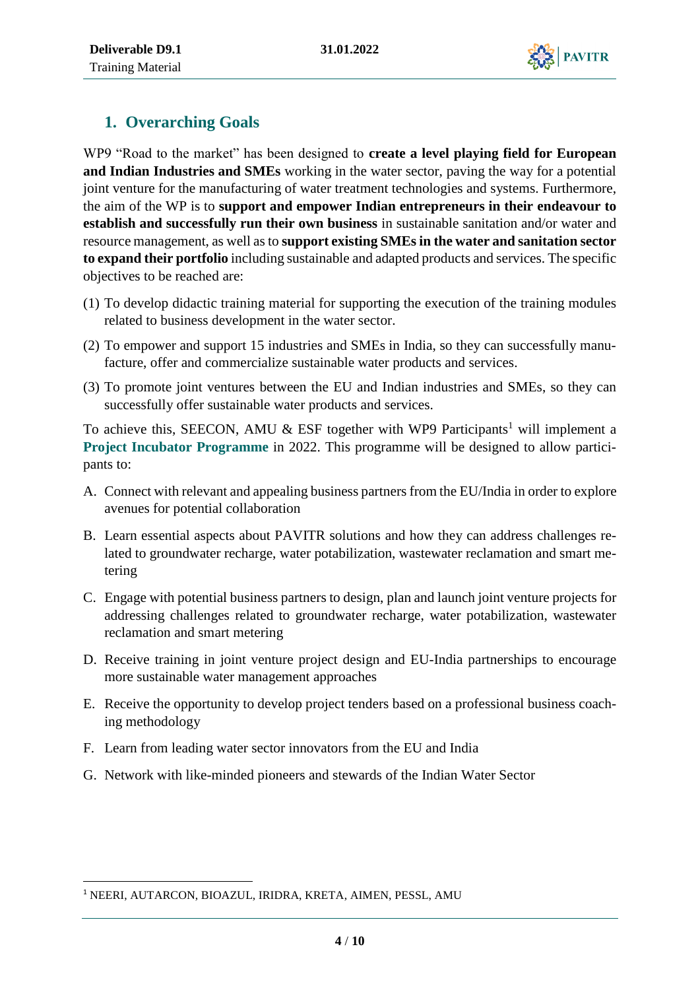

# <span id="page-3-0"></span>**1. Overarching Goals**

WP9 "Road to the market" has been designed to **create a level playing field for European and Indian Industries and SMEs** working in the water sector, paving the way for a potential joint venture for the manufacturing of water treatment technologies and systems. Furthermore, the aim of the WP is to **support and empower Indian entrepreneurs in their endeavour to establish and successfully run their own business** in sustainable sanitation and/or water and resource management, as well as to **support existing SMEs in the water and sanitation sector to expand their portfolio** including sustainable and adapted products and services. The specific objectives to be reached are:

- (1) To develop didactic training material for supporting the execution of the training modules related to business development in the water sector.
- (2) To empower and support 15 industries and SMEs in India, so they can successfully manufacture, offer and commercialize sustainable water products and services.
- (3) To promote joint ventures between the EU and Indian industries and SMEs, so they can successfully offer sustainable water products and services.

To achieve this, SEECON, AMU  $&$  ESF together with WP9 Participants<sup>1</sup> will implement a **Project Incubator Programme** in 2022. This programme will be designed to allow participants to:

- A. Connect with relevant and appealing business partners from the EU/India in order to explore avenues for potential collaboration
- B. Learn essential aspects about PAVITR solutions and how they can address challenges related to groundwater recharge, water potabilization, wastewater reclamation and smart metering
- C. Engage with potential business partners to design, plan and launch joint venture projects for addressing challenges related to groundwater recharge, water potabilization, wastewater reclamation and smart metering
- D. Receive training in joint venture project design and EU-India partnerships to encourage more sustainable water management approaches
- E. Receive the opportunity to develop project tenders based on a professional business coaching methodology
- F. Learn from leading water sector innovators from the EU and India
- G. Network with like-minded pioneers and stewards of the Indian Water Sector

1

<sup>1</sup> NEERI, AUTARCON, BIOAZUL, IRIDRA, KRETA, AIMEN, PESSL, AMU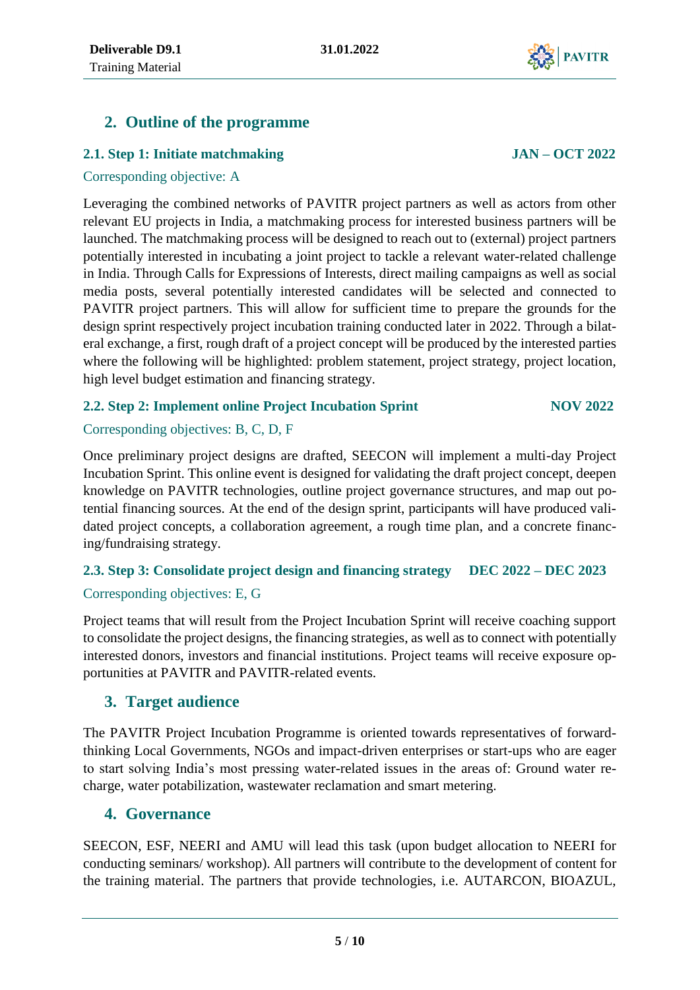# <span id="page-4-0"></span>**2. Outline of the programme**

### <span id="page-4-1"></span>**2.1. Step 1: Initiate matchmaking JAN – OCT 2022**

#### Corresponding objective: A

Leveraging the combined networks of PAVITR project partners as well as actors from other relevant EU projects in India, a matchmaking process for interested business partners will be launched. The matchmaking process will be designed to reach out to (external) project partners potentially interested in incubating a joint project to tackle a relevant water-related challenge in India. Through Calls for Expressions of Interests, direct mailing campaigns as well as social media posts, several potentially interested candidates will be selected and connected to PAVITR project partners. This will allow for sufficient time to prepare the grounds for the design sprint respectively project incubation training conducted later in 2022. Through a bilateral exchange, a first, rough draft of a project concept will be produced by the interested parties where the following will be highlighted: problem statement, project strategy, project location, high level budget estimation and financing strategy.

### <span id="page-4-2"></span>**2.2. Step 2: Implement online Project Incubation Sprint NOV 2022**

### Corresponding objectives: B, C, D, F

Once preliminary project designs are drafted, SEECON will implement a multi-day Project Incubation Sprint. This online event is designed for validating the draft project concept, deepen knowledge on PAVITR technologies, outline project governance structures, and map out potential financing sources. At the end of the design sprint, participants will have produced validated project concepts, a collaboration agreement, a rough time plan, and a concrete financing/fundraising strategy.

## <span id="page-4-3"></span>**2.3. Step 3: Consolidate project design and financing strategy DEC 2022 – DEC 2023** Corresponding objectives: E, G

Project teams that will result from the Project Incubation Sprint will receive coaching support to consolidate the project designs, the financing strategies, as well as to connect with potentially interested donors, investors and financial institutions. Project teams will receive exposure opportunities at PAVITR and PAVITR-related events.

### <span id="page-4-4"></span>**3. Target audience**

The PAVITR Project Incubation Programme is oriented towards representatives of forwardthinking Local Governments, NGOs and impact-driven enterprises or start-ups who are eager to start solving India's most pressing water-related issues in the areas of: Ground water recharge, water potabilization, wastewater reclamation and smart metering.

### <span id="page-4-5"></span>**4. Governance**

SEECON, ESF, NEERI and AMU will lead this task (upon budget allocation to NEERI for conducting seminars/ workshop). All partners will contribute to the development of content for the training material. The partners that provide technologies, i.e. AUTARCON, BIOAZUL,

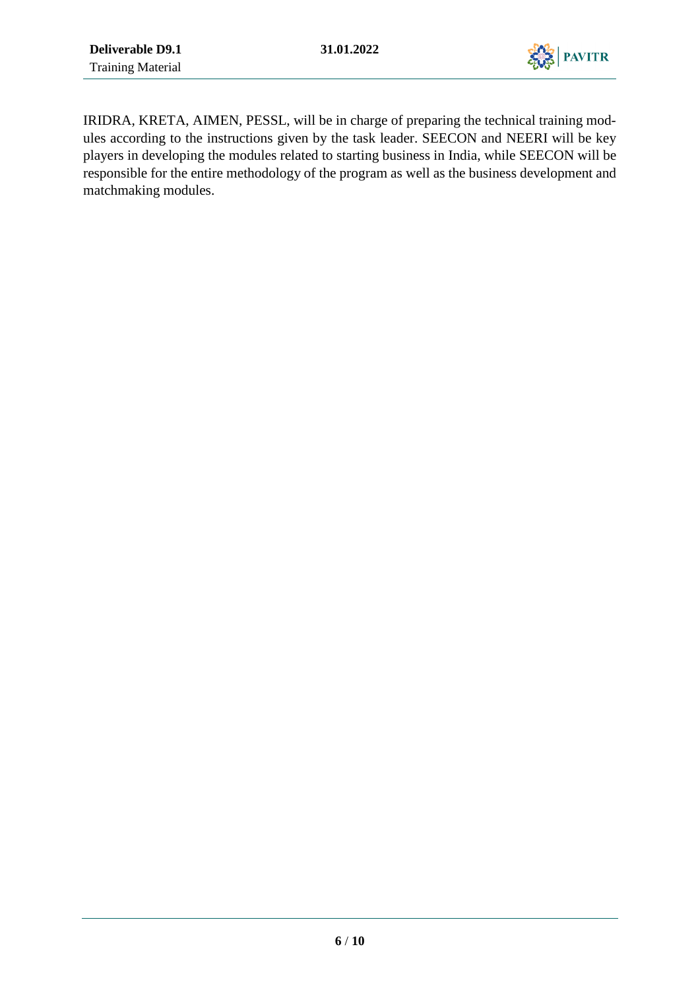

IRIDRA, KRETA, AIMEN, PESSL, will be in charge of preparing the technical training modules according to the instructions given by the task leader. SEECON and NEERI will be key players in developing the modules related to starting business in India, while SEECON will be responsible for the entire methodology of the program as well as the business development and matchmaking modules.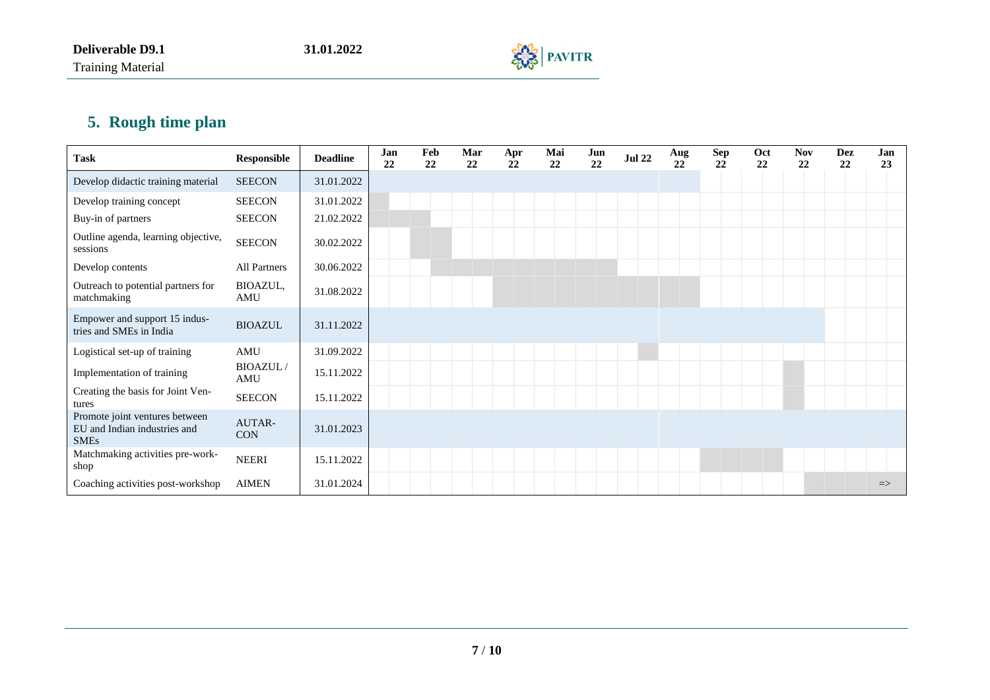Training Material



# **5. Rough time plan**

<span id="page-6-0"></span>

| <b>Task</b>                                                                   | <b>Responsible</b>     | <b>Deadline</b> | Jan<br>22 | Feb<br>22 | Mar<br>22 | Apr<br>22 | Mai<br>22 | Jun<br>22 | <b>Jul 22</b> | Aug<br>22 | <b>Sep</b><br>22 | Oct<br>22 | <b>Nov</b><br>22 | <b>Dez</b><br>22 | Jan<br>23     |
|-------------------------------------------------------------------------------|------------------------|-----------------|-----------|-----------|-----------|-----------|-----------|-----------|---------------|-----------|------------------|-----------|------------------|------------------|---------------|
| Develop didactic training material                                            | <b>SEECON</b>          | 31.01.2022      |           |           |           |           |           |           |               |           |                  |           |                  |                  |               |
| Develop training concept                                                      | <b>SEECON</b>          | 31.01.2022      |           |           |           |           |           |           |               |           |                  |           |                  |                  |               |
| Buy-in of partners                                                            | <b>SEECON</b>          | 21.02.2022      |           |           |           |           |           |           |               |           |                  |           |                  |                  |               |
| Outline agenda, learning objective,<br>sessions                               | <b>SEECON</b>          | 30.02.2022      |           |           |           |           |           |           |               |           |                  |           |                  |                  |               |
| Develop contents                                                              | All Partners           | 30.06.2022      |           |           |           |           |           |           |               |           |                  |           |                  |                  |               |
| Outreach to potential partners for<br>matchmaking                             | BIOAZUL,<br>AMU        | 31.08.2022      |           |           |           |           |           |           |               |           |                  |           |                  |                  |               |
| Empower and support 15 indus-<br>tries and SMEs in India                      | <b>BIOAZUL</b>         | 31.11.2022      |           |           |           |           |           |           |               |           |                  |           |                  |                  |               |
| Logistical set-up of training                                                 | AMU                    | 31.09.2022      |           |           |           |           |           |           |               |           |                  |           |                  |                  |               |
| Implementation of training                                                    | <b>BIOAZUL/</b><br>AMU | 15.11.2022      |           |           |           |           |           |           |               |           |                  |           |                  |                  |               |
| Creating the basis for Joint Ven-<br>tures                                    | <b>SEECON</b>          | 15.11.2022      |           |           |           |           |           |           |               |           |                  |           |                  |                  |               |
| Promote joint ventures between<br>EU and Indian industries and<br><b>SMEs</b> | AUTAR-<br><b>CON</b>   | 31.01.2023      |           |           |           |           |           |           |               |           |                  |           |                  |                  |               |
| Matchmaking activities pre-work-<br>shop                                      | <b>NEERI</b>           | 15.11.2022      |           |           |           |           |           |           |               |           |                  |           |                  |                  |               |
| Coaching activities post-workshop                                             | <b>AIMEN</b>           | 31.01.2024      |           |           |           |           |           |           |               |           |                  |           |                  |                  | $\Rightarrow$ |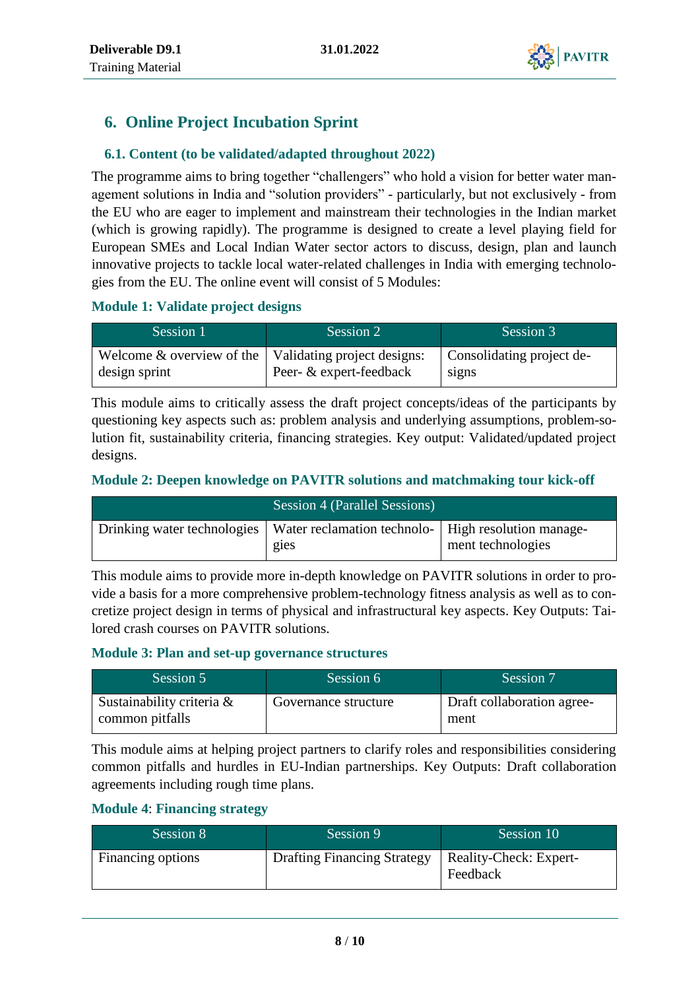

# <span id="page-7-0"></span>**6. Online Project Incubation Sprint**

### <span id="page-7-1"></span>**6.1. Content (to be validated/adapted throughout 2022)**

The programme aims to bring together "challengers" who hold a vision for better water management solutions in India and "solution providers" - particularly, but not exclusively - from the EU who are eager to implement and mainstream their technologies in the Indian market (which is growing rapidly). The programme is designed to create a level playing field for European SMEs and Local Indian Water sector actors to discuss, design, plan and launch innovative projects to tackle local water-related challenges in India with emerging technologies from the EU. The online event will consist of 5 Modules:

#### **Module 1: Validate project designs**

| Session 1                                                                   | Session 2               | Session 3                          |
|-----------------------------------------------------------------------------|-------------------------|------------------------------------|
| Welcome $\&$ overview of the   Validating project designs:<br>design sprint | Peer- & expert-feedback | Consolidating project de-<br>signs |

This module aims to critically assess the draft project concepts/ideas of the participants by questioning key aspects such as: problem analysis and underlying assumptions, problem-solution fit, sustainability criteria, financing strategies. Key output: Validated/updated project designs.

#### **Module 2: Deepen knowledge on PAVITR solutions and matchmaking tour kick-off**

| Session 4 (Parallel Sessions)                                                               |                   |
|---------------------------------------------------------------------------------------------|-------------------|
| Drinking water technologies   Water reclamation technolo-   High resolution manage-<br>gies | ment technologies |

This module aims to provide more in-depth knowledge on PAVITR solutions in order to provide a basis for a more comprehensive problem-technology fitness analysis as well as to concretize project design in terms of physical and infrastructural key aspects. Key Outputs: Tailored crash courses on PAVITR solutions.

#### **Module 3: Plan and set-up governance structures**

| Session 5                                    | Session 6            | Session 7                          |
|----------------------------------------------|----------------------|------------------------------------|
| Sustainability criteria &<br>common pitfalls | Governance structure | Draft collaboration agree-<br>ment |

This module aims at helping project partners to clarify roles and responsibilities considering common pitfalls and hurdles in EU-Indian partnerships. Key Outputs: Draft collaboration agreements including rough time plans.

#### **Module 4**: **Financing strategy**

| Session 8         | Session 9                          | Session 10                         |
|-------------------|------------------------------------|------------------------------------|
| Financing options | <b>Drafting Financing Strategy</b> | Reality-Check: Expert-<br>Feedback |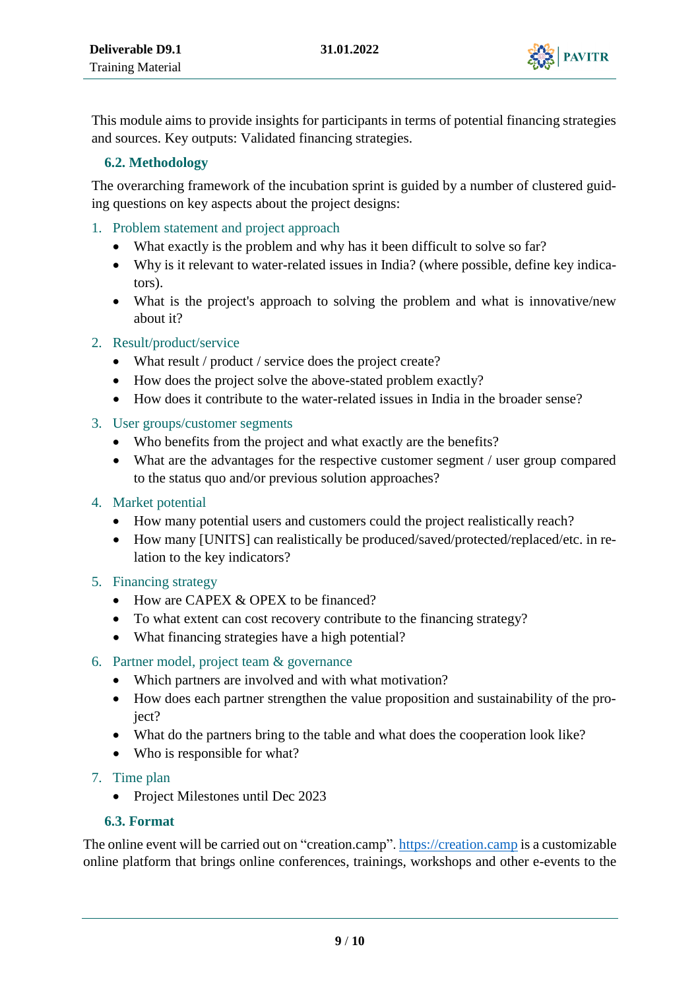

This module aims to provide insights for participants in terms of potential financing strategies and sources. Key outputs: Validated financing strategies.

#### <span id="page-8-0"></span>**6.2. Methodology**

The overarching framework of the incubation sprint is guided by a number of clustered guiding questions on key aspects about the project designs:

- 1. Problem statement and project approach
	- What exactly is the problem and why has it been difficult to solve so far?
	- Why is it relevant to water-related issues in India? (where possible, define key indicators).
	- What is the project's approach to solving the problem and what is innovative/new about it?

### 2. Result/product/service

- What result / product / service does the project create?
- How does the project solve the above-stated problem exactly?
- How does it contribute to the water-related issues in India in the broader sense?
- 3. User groups/customer segments
	- Who benefits from the project and what exactly are the benefits?
	- What are the advantages for the respective customer segment / user group compared to the status quo and/or previous solution approaches?
- 4. Market potential
	- How many potential users and customers could the project realistically reach?
	- How many [UNITS] can realistically be produced/saved/protected/replaced/etc. in relation to the key indicators?
- 5. Financing strategy
	- How are CAPEX & OPEX to be financed?
	- To what extent can cost recovery contribute to the financing strategy?
	- What financing strategies have a high potential?
- 6. Partner model, project team & governance
	- Which partners are involved and with what motivation?
	- How does each partner strengthen the value proposition and sustainability of the project?
	- What do the partners bring to the table and what does the cooperation look like?
	- Who is responsible for what?
- 7. Time plan
	- Project Milestones until Dec 2023

### <span id="page-8-1"></span>**6.3. Format**

The online event will be carried out on "creation.camp"[. https://creation.camp](https://creation.camp/) is a customizable online platform that brings online conferences, trainings, workshops and other e-events to the